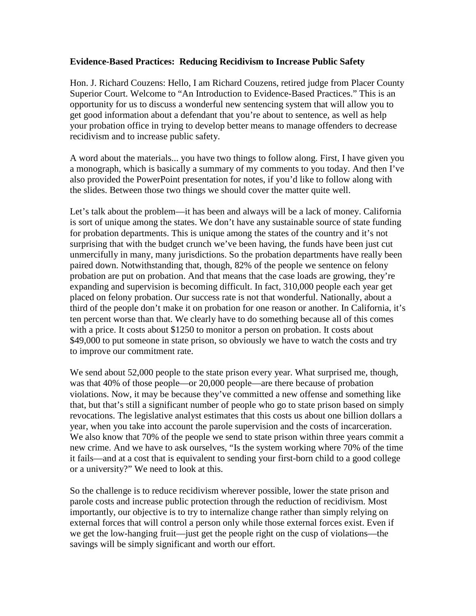## **Evidence-Based Practices: Reducing Recidivism to Increase Public Safety**

Hon. J. Richard Couzens: Hello, I am Richard Couzens, retired judge from Placer County Superior Court. Welcome to "An Introduction to Evidence-Based Practices." This is an opportunity for us to discuss a wonderful new sentencing system that will allow you to get good information about a defendant that you're about to sentence, as well as help your probation office in trying to develop better means to manage offenders to decrease recidivism and to increase public safety.

A word about the materials... you have two things to follow along. First, I have given you a monograph, which is basically a summary of my comments to you today. And then I've also provided the PowerPoint presentation for notes, if you'd like to follow along with the slides. Between those two things we should cover the matter quite well.

Let's talk about the problem—it has been and always will be a lack of money. California is sort of unique among the states. We don't have any sustainable source of state funding for probation departments. This is unique among the states of the country and it's not surprising that with the budget crunch we've been having, the funds have been just cut unmercifully in many, many jurisdictions. So the probation departments have really been paired down. Notwithstanding that, though, 82% of the people we sentence on felony probation are put on probation. And that means that the case loads are growing, they're expanding and supervision is becoming difficult. In fact, 310,000 people each year get placed on felony probation. Our success rate is not that wonderful. Nationally, about a third of the people don't make it on probation for one reason or another. In California, it's ten percent worse than that. We clearly have to do something because all of this comes with a price. It costs about \$1250 to monitor a person on probation. It costs about \$49,000 to put someone in state prison, so obviously we have to watch the costs and try to improve our commitment rate.

We send about 52,000 people to the state prison every year. What surprised me, though, was that 40% of those people—or 20,000 people—are there because of probation violations. Now, it may be because they've committed a new offense and something like that, but that's still a significant number of people who go to state prison based on simply revocations. The legislative analyst estimates that this costs us about one billion dollars a year, when you take into account the parole supervision and the costs of incarceration. We also know that 70% of the people we send to state prison within three years commit a new crime. And we have to ask ourselves, "Is the system working where 70% of the time it fails—and at a cost that is equivalent to sending your first-born child to a good college or a university?" We need to look at this.

So the challenge is to reduce recidivism wherever possible, lower the state prison and parole costs and increase public protection through the reduction of recidivism. Most importantly, our objective is to try to internalize change rather than simply relying on external forces that will control a person only while those external forces exist. Even if we get the low-hanging fruit—just get the people right on the cusp of violations—the savings will be simply significant and worth our effort.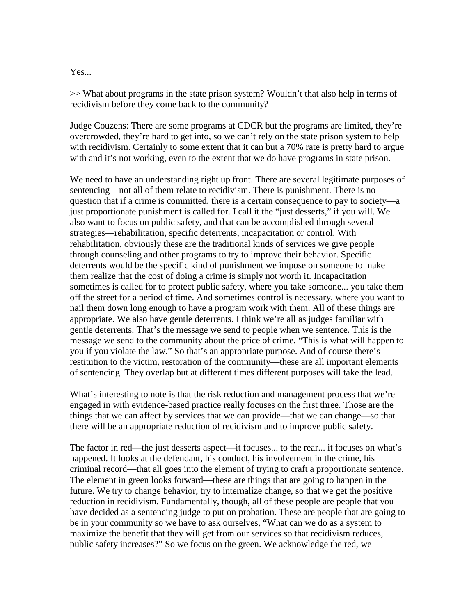## Yes...

>> What about programs in the state prison system? Wouldn't that also help in terms of recidivism before they come back to the community?

Judge Couzens: There are some programs at CDCR but the programs are limited, they're overcrowded, they're hard to get into, so we can't rely on the state prison system to help with recidivism. Certainly to some extent that it can but a 70% rate is pretty hard to argue with and it's not working, even to the extent that we do have programs in state prison.

We need to have an understanding right up front. There are several legitimate purposes of sentencing—not all of them relate to recidivism. There is punishment. There is no question that if a crime is committed, there is a certain consequence to pay to society—a just proportionate punishment is called for. I call it the "just desserts," if you will. We also want to focus on public safety, and that can be accomplished through several strategies—rehabilitation, specific deterrents, incapacitation or control. With rehabilitation, obviously these are the traditional kinds of services we give people through counseling and other programs to try to improve their behavior. Specific deterrents would be the specific kind of punishment we impose on someone to make them realize that the cost of doing a crime is simply not worth it. Incapacitation sometimes is called for to protect public safety, where you take someone... you take them off the street for a period of time. And sometimes control is necessary, where you want to nail them down long enough to have a program work with them. All of these things are appropriate. We also have gentle deterrents. I think we're all as judges familiar with gentle deterrents. That's the message we send to people when we sentence. This is the message we send to the community about the price of crime. "This is what will happen to you if you violate the law." So that's an appropriate purpose. And of course there's restitution to the victim, restoration of the community—these are all important elements of sentencing. They overlap but at different times different purposes will take the lead.

What's interesting to note is that the risk reduction and management process that we're engaged in with evidence-based practice really focuses on the first three. Those are the things that we can affect by services that we can provide—that we can change—so that there will be an appropriate reduction of recidivism and to improve public safety.

The factor in red—the just desserts aspect—it focuses... to the rear... it focuses on what's happened. It looks at the defendant, his conduct, his involvement in the crime, his criminal record—that all goes into the element of trying to craft a proportionate sentence. The element in green looks forward—these are things that are going to happen in the future. We try to change behavior, try to internalize change, so that we get the positive reduction in recidivism. Fundamentally, though, all of these people are people that you have decided as a sentencing judge to put on probation. These are people that are going to be in your community so we have to ask ourselves, "What can we do as a system to maximize the benefit that they will get from our services so that recidivism reduces, public safety increases?" So we focus on the green. We acknowledge the red, we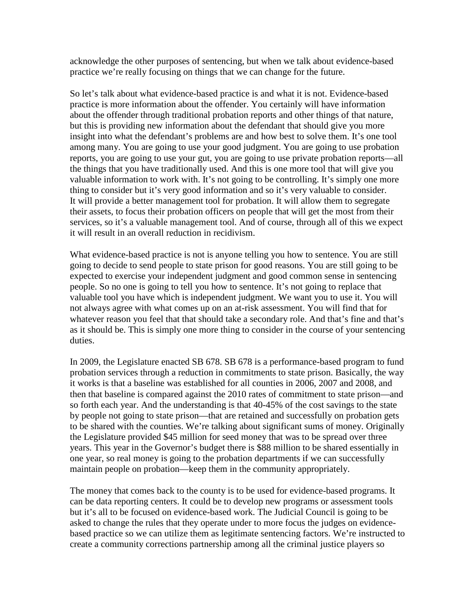acknowledge the other purposes of sentencing, but when we talk about evidence-based practice we're really focusing on things that we can change for the future.

So let's talk about what evidence-based practice is and what it is not. Evidence-based practice is more information about the offender. You certainly will have information about the offender through traditional probation reports and other things of that nature, but this is providing new information about the defendant that should give you more insight into what the defendant's problems are and how best to solve them. It's one tool among many. You are going to use your good judgment. You are going to use probation reports, you are going to use your gut, you are going to use private probation reports—all the things that you have traditionally used. And this is one more tool that will give you valuable information to work with. It's not going to be controlling. It's simply one more thing to consider but it's very good information and so it's very valuable to consider. It will provide a better management tool for probation. It will allow them to segregate their assets, to focus their probation officers on people that will get the most from their services, so it's a valuable management tool. And of course, through all of this we expect it will result in an overall reduction in recidivism.

What evidence-based practice is not is anyone telling you how to sentence. You are still going to decide to send people to state prison for good reasons. You are still going to be expected to exercise your independent judgment and good common sense in sentencing people. So no one is going to tell you how to sentence. It's not going to replace that valuable tool you have which is independent judgment. We want you to use it. You will not always agree with what comes up on an at-risk assessment. You will find that for whatever reason you feel that that should take a secondary role. And that's fine and that's as it should be. This is simply one more thing to consider in the course of your sentencing duties.

In 2009, the Legislature enacted SB 678. SB 678 is a performance-based program to fund probation services through a reduction in commitments to state prison. Basically, the way it works is that a baseline was established for all counties in 2006, 2007 and 2008, and then that baseline is compared against the 2010 rates of commitment to state prison—and so forth each year. And the understanding is that 40-45% of the cost savings to the state by people not going to state prison—that are retained and successfully on probation gets to be shared with the counties. We're talking about significant sums of money. Originally the Legislature provided \$45 million for seed money that was to be spread over three years. This year in the Governor's budget there is \$88 million to be shared essentially in one year, so real money is going to the probation departments if we can successfully maintain people on probation—keep them in the community appropriately.

The money that comes back to the county is to be used for evidence-based programs. It can be data reporting centers. It could be to develop new programs or assessment tools but it's all to be focused on evidence-based work. The Judicial Council is going to be asked to change the rules that they operate under to more focus the judges on evidencebased practice so we can utilize them as legitimate sentencing factors. We're instructed to create a community corrections partnership among all the criminal justice players so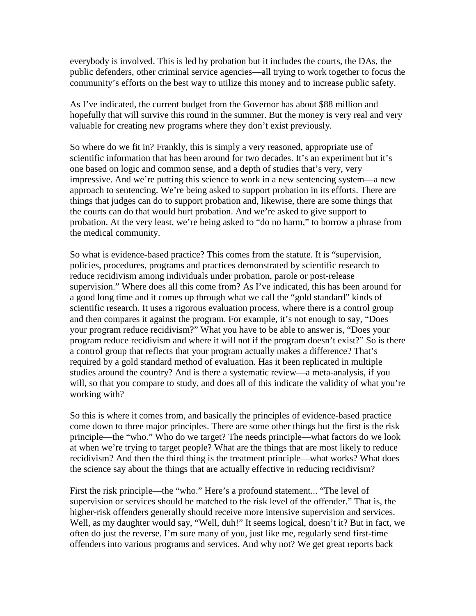everybody is involved. This is led by probation but it includes the courts, the DAs, the public defenders, other criminal service agencies—all trying to work together to focus the community's efforts on the best way to utilize this money and to increase public safety.

As I've indicated, the current budget from the Governor has about \$88 million and hopefully that will survive this round in the summer. But the money is very real and very valuable for creating new programs where they don't exist previously.

So where do we fit in? Frankly, this is simply a very reasoned, appropriate use of scientific information that has been around for two decades. It's an experiment but it's one based on logic and common sense, and a depth of studies that's very, very impressive. And we're putting this science to work in a new sentencing system—a new approach to sentencing. We're being asked to support probation in its efforts. There are things that judges can do to support probation and, likewise, there are some things that the courts can do that would hurt probation. And we're asked to give support to probation. At the very least, we're being asked to "do no harm," to borrow a phrase from the medical community.

So what is evidence-based practice? This comes from the statute. It is "supervision, policies, procedures, programs and practices demonstrated by scientific research to reduce recidivism among individuals under probation, parole or post-release supervision." Where does all this come from? As I've indicated, this has been around for a good long time and it comes up through what we call the "gold standard" kinds of scientific research. It uses a rigorous evaluation process, where there is a control group and then compares it against the program. For example, it's not enough to say, "Does your program reduce recidivism?" What you have to be able to answer is, "Does your program reduce recidivism and where it will not if the program doesn't exist?" So is there a control group that reflects that your program actually makes a difference? That's required by a gold standard method of evaluation. Has it been replicated in multiple studies around the country? And is there a systematic review—a meta-analysis, if you will, so that you compare to study, and does all of this indicate the validity of what you're working with?

So this is where it comes from, and basically the principles of evidence-based practice come down to three major principles. There are some other things but the first is the risk principle—the "who." Who do we target? The needs principle—what factors do we look at when we're trying to target people? What are the things that are most likely to reduce recidivism? And then the third thing is the treatment principle—what works? What does the science say about the things that are actually effective in reducing recidivism?

First the risk principle—the "who." Here's a profound statement... "The level of supervision or services should be matched to the risk level of the offender." That is, the higher-risk offenders generally should receive more intensive supervision and services. Well, as my daughter would say, "Well, duh!" It seems logical, doesn't it? But in fact, we often do just the reverse. I'm sure many of you, just like me, regularly send first-time offenders into various programs and services. And why not? We get great reports back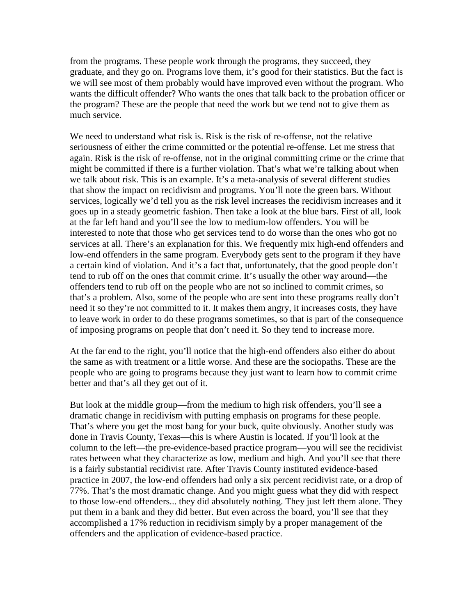from the programs. These people work through the programs, they succeed, they graduate, and they go on. Programs love them, it's good for their statistics. But the fact is we will see most of them probably would have improved even without the program. Who wants the difficult offender? Who wants the ones that talk back to the probation officer or the program? These are the people that need the work but we tend not to give them as much service.

We need to understand what risk is. Risk is the risk of re-offense, not the relative seriousness of either the crime committed or the potential re-offense. Let me stress that again. Risk is the risk of re-offense, not in the original committing crime or the crime that might be committed if there is a further violation. That's what we're talking about when we talk about risk. This is an example. It's a meta-analysis of several different studies that show the impact on recidivism and programs. You'll note the green bars. Without services, logically we'd tell you as the risk level increases the recidivism increases and it goes up in a steady geometric fashion. Then take a look at the blue bars. First of all, look at the far left hand and you'll see the low to medium-low offenders. You will be interested to note that those who get services tend to do worse than the ones who got no services at all. There's an explanation for this. We frequently mix high-end offenders and low-end offenders in the same program. Everybody gets sent to the program if they have a certain kind of violation. And it's a fact that, unfortunately, that the good people don't tend to rub off on the ones that commit crime. It's usually the other way around—the offenders tend to rub off on the people who are not so inclined to commit crimes, so that's a problem. Also, some of the people who are sent into these programs really don't need it so they're not committed to it. It makes them angry, it increases costs, they have to leave work in order to do these programs sometimes, so that is part of the consequence of imposing programs on people that don't need it. So they tend to increase more.

At the far end to the right, you'll notice that the high-end offenders also either do about the same as with treatment or a little worse. And these are the sociopaths. These are the people who are going to programs because they just want to learn how to commit crime better and that's all they get out of it.

But look at the middle group—from the medium to high risk offenders, you'll see a dramatic change in recidivism with putting emphasis on programs for these people. That's where you get the most bang for your buck, quite obviously. Another study was done in Travis County, Texas—this is where Austin is located. If you'll look at the column to the left—the pre-evidence-based practice program—you will see the recidivist rates between what they characterize as low, medium and high. And you'll see that there is a fairly substantial recidivist rate. After Travis County instituted evidence-based practice in 2007, the low-end offenders had only a six percent recidivist rate, or a drop of 77%. That's the most dramatic change. And you might guess what they did with respect to those low-end offenders... they did absolutely nothing. They just left them alone. They put them in a bank and they did better. But even across the board, you'll see that they accomplished a 17% reduction in recidivism simply by a proper management of the offenders and the application of evidence-based practice.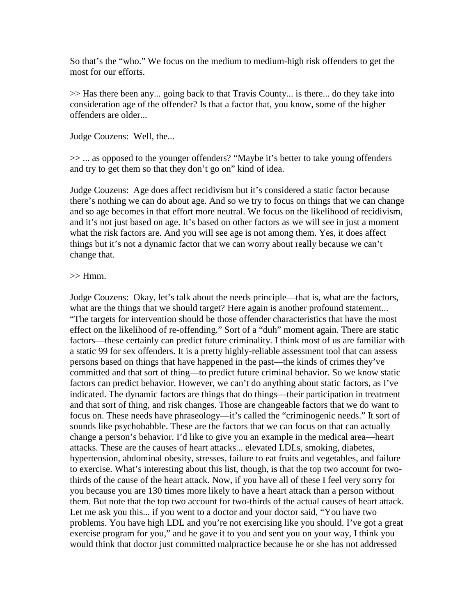So that's the "who." We focus on the medium to medium-high risk offenders to get the most for our efforts.

>> Has there been any... going back to that Travis County... is there... do they take into consideration age of the offender? Is that a factor that, you know, some of the higher offenders are older...

Judge Couzens: Well, the...

>> ... as opposed to the younger offenders? "Maybe it's better to take young offenders and try to get them so that they don't go on" kind of idea.

Judge Couzens: Age does affect recidivism but it's considered a static factor because there's nothing we can do about age. And so we try to focus on things that we can change and so age becomes in that effort more neutral. We focus on the likelihood of recidivism, and it's not just based on age. It's based on other factors as we will see in just a moment what the risk factors are. And you will see age is not among them. Yes, it does affect things but it's not a dynamic factor that we can worry about really because we can't change that.

## $>>$  Hmm.

Judge Couzens: Okay, let's talk about the needs principle—that is, what are the factors, what are the things that we should target? Here again is another profound statement... "The targets for intervention should be those offender characteristics that have the most effect on the likelihood of re-offending." Sort of a "duh" moment again. There are static factors—these certainly can predict future criminality. I think most of us are familiar with a static 99 for sex offenders. It is a pretty highly-reliable assessment tool that can assess persons based on things that have happened in the past—the kinds of crimes they've committed and that sort of thing—to predict future criminal behavior. So we know static factors can predict behavior. However, we can't do anything about static factors, as I've indicated. The dynamic factors are things that do things—their participation in treatment and that sort of thing, and risk changes. Those are changeable factors that we do want to focus on. These needs have phraseology—it's called the "criminogenic needs." It sort of sounds like psychobabble. These are the factors that we can focus on that can actually change a person's behavior. I'd like to give you an example in the medical area—heart attacks. These are the causes of heart attacks... elevated LDLs, smoking, diabetes, hypertension, abdominal obesity, stresses, failure to eat fruits and vegetables, and failure to exercise. What's interesting about this list, though, is that the top two account for twothirds of the cause of the heart attack. Now, if you have all of these I feel very sorry for you because you are 130 times more likely to have a heart attack than a person without them. But note that the top two account for two-thirds of the actual causes of heart attack. Let me ask you this... if you went to a doctor and your doctor said, "You have two problems. You have high LDL and you're not exercising like you should. I've got a great exercise program for you," and he gave it to you and sent you on your way, I think you would think that doctor just committed malpractice because he or she has not addressed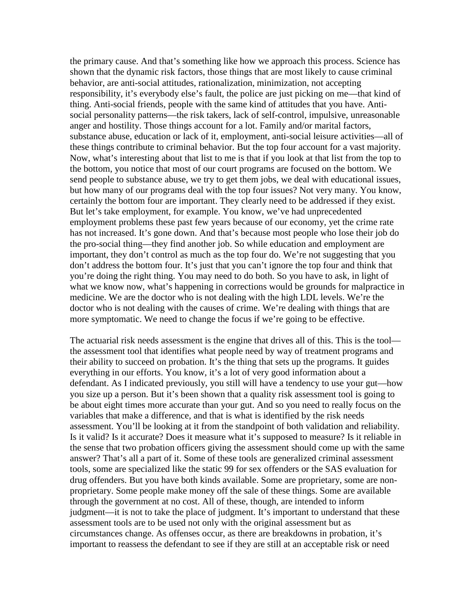the primary cause. And that's something like how we approach this process. Science has shown that the dynamic risk factors, those things that are most likely to cause criminal behavior, are anti-social attitudes, rationalization, minimization, not accepting responsibility, it's everybody else's fault, the police are just picking on me—that kind of thing. Anti-social friends, people with the same kind of attitudes that you have. Antisocial personality patterns—the risk takers, lack of self-control, impulsive, unreasonable anger and hostility. Those things account for a lot. Family and/or marital factors, substance abuse, education or lack of it, employment, anti-social leisure activities—all of these things contribute to criminal behavior. But the top four account for a vast majority. Now, what's interesting about that list to me is that if you look at that list from the top to the bottom, you notice that most of our court programs are focused on the bottom. We send people to substance abuse, we try to get them jobs, we deal with educational issues, but how many of our programs deal with the top four issues? Not very many. You know, certainly the bottom four are important. They clearly need to be addressed if they exist. But let's take employment, for example. You know, we've had unprecedented employment problems these past few years because of our economy, yet the crime rate has not increased. It's gone down. And that's because most people who lose their job do the pro-social thing—they find another job. So while education and employment are important, they don't control as much as the top four do. We're not suggesting that you don't address the bottom four. It's just that you can't ignore the top four and think that you're doing the right thing. You may need to do both. So you have to ask, in light of what we know now, what's happening in corrections would be grounds for malpractice in medicine. We are the doctor who is not dealing with the high LDL levels. We're the doctor who is not dealing with the causes of crime. We're dealing with things that are more symptomatic. We need to change the focus if we're going to be effective.

The actuarial risk needs assessment is the engine that drives all of this. This is the tool the assessment tool that identifies what people need by way of treatment programs and their ability to succeed on probation. It's the thing that sets up the programs. It guides everything in our efforts. You know, it's a lot of very good information about a defendant. As I indicated previously, you still will have a tendency to use your gut—how you size up a person. But it's been shown that a quality risk assessment tool is going to be about eight times more accurate than your gut. And so you need to really focus on the variables that make a difference, and that is what is identified by the risk needs assessment. You'll be looking at it from the standpoint of both validation and reliability. Is it valid? Is it accurate? Does it measure what it's supposed to measure? Is it reliable in the sense that two probation officers giving the assessment should come up with the same answer? That's all a part of it. Some of these tools are generalized criminal assessment tools, some are specialized like the static 99 for sex offenders or the SAS evaluation for drug offenders. But you have both kinds available. Some are proprietary, some are nonproprietary. Some people make money off the sale of these things. Some are available through the government at no cost. All of these, though, are intended to inform judgment—it is not to take the place of judgment. It's important to understand that these assessment tools are to be used not only with the original assessment but as circumstances change. As offenses occur, as there are breakdowns in probation, it's important to reassess the defendant to see if they are still at an acceptable risk or need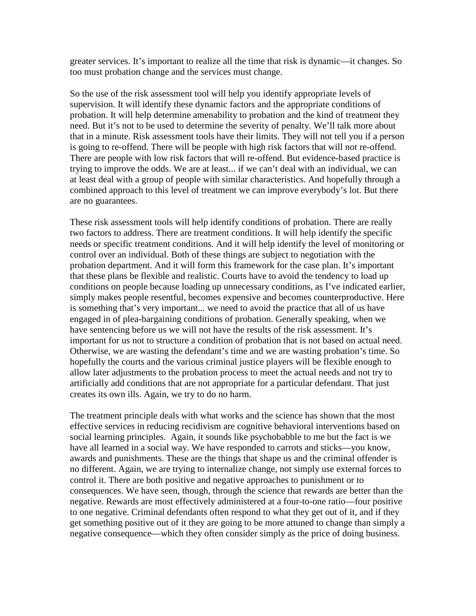greater services. It's important to realize all the time that risk is dynamic—it changes. So too must probation change and the services must change.

So the use of the risk assessment tool will help you identify appropriate levels of supervision. It will identify these dynamic factors and the appropriate conditions of probation. It will help determine amenability to probation and the kind of treatment they need. But it's not to be used to determine the severity of penalty. We'll talk more about that in a minute. Risk assessment tools have their limits. They will not tell you if a person is going to re-offend. There will be people with high risk factors that will not re-offend. There are people with low risk factors that will re-offend. But evidence-based practice is trying to improve the odds. We are at least... if we can't deal with an individual, we can at least deal with a group of people with similar characteristics. And hopefully through a combined approach to this level of treatment we can improve everybody's lot. But there are no guarantees.

These risk assessment tools will help identify conditions of probation. There are really two factors to address. There are treatment conditions. It will help identify the specific needs or specific treatment conditions. And it will help identify the level of monitoring or control over an individual. Both of these things are subject to negotiation with the probation department. And it will form this framework for the case plan. It's important that these plans be flexible and realistic. Courts have to avoid the tendency to load up conditions on people because loading up unnecessary conditions, as I've indicated earlier, simply makes people resentful, becomes expensive and becomes counterproductive. Here is something that's very important... we need to avoid the practice that all of us have engaged in of plea-bargaining conditions of probation. Generally speaking, when we have sentencing before us we will not have the results of the risk assessment. It's important for us not to structure a condition of probation that is not based on actual need. Otherwise, we are wasting the defendant's time and we are wasting probation's time. So hopefully the courts and the various criminal justice players will be flexible enough to allow later adjustments to the probation process to meet the actual needs and not try to artificially add conditions that are not appropriate for a particular defendant. That just creates its own ills. Again, we try to do no harm.

The treatment principle deals with what works and the science has shown that the most effective services in reducing recidivism are cognitive behavioral interventions based on social learning principles. Again, it sounds like psychobabble to me but the fact is we have all learned in a social way. We have responded to carrots and sticks—you know, awards and punishments. These are the things that shape us and the criminal offender is no different. Again, we are trying to internalize change, not simply use external forces to control it. There are both positive and negative approaches to punishment or to consequences. We have seen, though, through the science that rewards are better than the negative. Rewards are most effectively administered at a four-to-one ratio—four positive to one negative. Criminal defendants often respond to what they get out of it, and if they get something positive out of it they are going to be more attuned to change than simply a negative consequence—which they often consider simply as the price of doing business.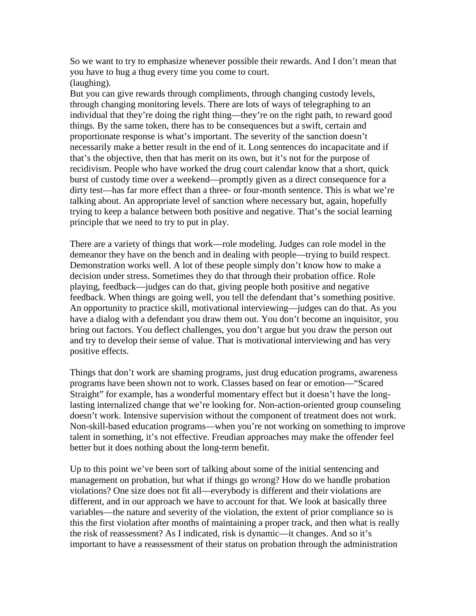So we want to try to emphasize whenever possible their rewards. And I don't mean that you have to hug a thug every time you come to court. (laughing).

But you can give rewards through compliments, through changing custody levels, through changing monitoring levels. There are lots of ways of telegraphing to an individual that they're doing the right thing—they're on the right path, to reward good things. By the same token, there has to be consequences but a swift, certain and proportionate response is what's important. The severity of the sanction doesn't necessarily make a better result in the end of it. Long sentences do incapacitate and if that's the objective, then that has merit on its own, but it's not for the purpose of recidivism. People who have worked the drug court calendar know that a short, quick burst of custody time over a weekend—promptly given as a direct consequence for a dirty test—has far more effect than a three- or four-month sentence. This is what we're talking about. An appropriate level of sanction where necessary but, again, hopefully trying to keep a balance between both positive and negative. That's the social learning principle that we need to try to put in play.

There are a variety of things that work—role modeling. Judges can role model in the demeanor they have on the bench and in dealing with people—trying to build respect. Demonstration works well. A lot of these people simply don't know how to make a decision under stress. Sometimes they do that through their probation office. Role playing, feedback—judges can do that, giving people both positive and negative feedback. When things are going well, you tell the defendant that's something positive. An opportunity to practice skill, motivational interviewing—judges can do that. As you have a dialog with a defendant you draw them out. You don't become an inquisitor, you bring out factors. You deflect challenges, you don't argue but you draw the person out and try to develop their sense of value. That is motivational interviewing and has very positive effects.

Things that don't work are shaming programs, just drug education programs, awareness programs have been shown not to work. Classes based on fear or emotion—"Scared Straight" for example, has a wonderful momentary effect but it doesn't have the longlasting internalized change that we're looking for. Non-action-oriented group counseling doesn't work. Intensive supervision without the component of treatment does not work. Non-skill-based education programs—when you're not working on something to improve talent in something, it's not effective. Freudian approaches may make the offender feel better but it does nothing about the long-term benefit.

Up to this point we've been sort of talking about some of the initial sentencing and management on probation, but what if things go wrong? How do we handle probation violations? One size does not fit all—everybody is different and their violations are different, and in our approach we have to account for that. We look at basically three variables—the nature and severity of the violation, the extent of prior compliance so is this the first violation after months of maintaining a proper track, and then what is really the risk of reassessment? As I indicated, risk is dynamic—it changes. And so it's important to have a reassessment of their status on probation through the administration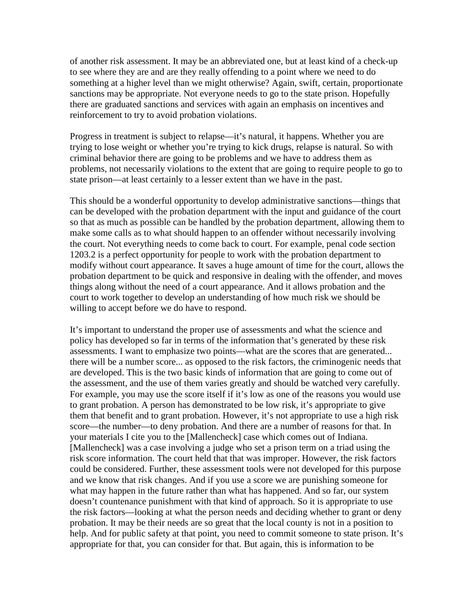of another risk assessment. It may be an abbreviated one, but at least kind of a check-up to see where they are and are they really offending to a point where we need to do something at a higher level than we might otherwise? Again, swift, certain, proportionate sanctions may be appropriate. Not everyone needs to go to the state prison. Hopefully there are graduated sanctions and services with again an emphasis on incentives and reinforcement to try to avoid probation violations.

Progress in treatment is subject to relapse—it's natural, it happens. Whether you are trying to lose weight or whether you're trying to kick drugs, relapse is natural. So with criminal behavior there are going to be problems and we have to address them as problems, not necessarily violations to the extent that are going to require people to go to state prison—at least certainly to a lesser extent than we have in the past.

This should be a wonderful opportunity to develop administrative sanctions—things that can be developed with the probation department with the input and guidance of the court so that as much as possible can be handled by the probation department, allowing them to make some calls as to what should happen to an offender without necessarily involving the court. Not everything needs to come back to court. For example, penal code section 1203.2 is a perfect opportunity for people to work with the probation department to modify without court appearance. It saves a huge amount of time for the court, allows the probation department to be quick and responsive in dealing with the offender, and moves things along without the need of a court appearance. And it allows probation and the court to work together to develop an understanding of how much risk we should be willing to accept before we do have to respond.

It's important to understand the proper use of assessments and what the science and policy has developed so far in terms of the information that's generated by these risk assessments. I want to emphasize two points—what are the scores that are generated... there will be a number score... as opposed to the risk factors, the criminogenic needs that are developed. This is the two basic kinds of information that are going to come out of the assessment, and the use of them varies greatly and should be watched very carefully. For example, you may use the score itself if it's low as one of the reasons you would use to grant probation. A person has demonstrated to be low risk, it's appropriate to give them that benefit and to grant probation. However, it's not appropriate to use a high risk score—the number—to deny probation. And there are a number of reasons for that. In your materials I cite you to the [Mallencheck] case which comes out of Indiana. [Mallencheck] was a case involving a judge who set a prison term on a triad using the risk score information. The court held that that was improper. However, the risk factors could be considered. Further, these assessment tools were not developed for this purpose and we know that risk changes. And if you use a score we are punishing someone for what may happen in the future rather than what has happened. And so far, our system doesn't countenance punishment with that kind of approach. So it is appropriate to use the risk factors—looking at what the person needs and deciding whether to grant or deny probation. It may be their needs are so great that the local county is not in a position to help. And for public safety at that point, you need to commit someone to state prison. It's appropriate for that, you can consider for that. But again, this is information to be